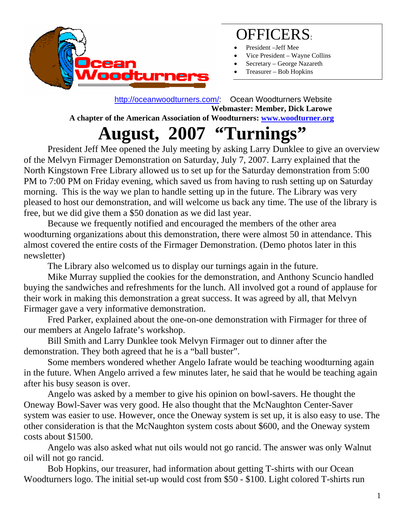

### OFFICERS:

- President –Jeff Mee
- Vice President Wayne Collins
- Secretary George Nazareth
- Treasurer Bob Hopkins

 <http://oceanwoodturners.com/>: Ocean Woodturners Website **Webmaster: Member, Dick Larowe A chapter of the American Association of Woodturners: [www.woodturner.org](http://www.woodturner.org/)** 

# **August, 2007 "Turnings"**

President Jeff Mee opened the July meeting by asking Larry Dunklee to give an overview of the Melvyn Firmager Demonstration on Saturday, July 7, 2007. Larry explained that the North Kingstown Free Library allowed us to set up for the Saturday demonstration from 5:00 PM to 7:00 PM on Friday evening, which saved us from having to rush setting up on Saturday morning. This is the way we plan to handle setting up in the future. The Library was very pleased to host our demonstration, and will welcome us back any time. The use of the library is free, but we did give them a \$50 donation as we did last year.

Because we frequently notified and encouraged the members of the other area woodturning organizations about this demonstration, there were almost 50 in attendance. This almost covered the entire costs of the Firmager Demonstration. (Demo photos later in this newsletter)

The Library also welcomed us to display our turnings again in the future.

Mike Murray supplied the cookies for the demonstration, and Anthony Scuncio handled buying the sandwiches and refreshments for the lunch. All involved got a round of applause for their work in making this demonstration a great success. It was agreed by all, that Melvyn Firmager gave a very informative demonstration.

Fred Parker, explained about the one-on-one demonstration with Firmager for three of our members at Angelo Iafrate's workshop.

Bill Smith and Larry Dunklee took Melvyn Firmager out to dinner after the demonstration. They both agreed that he is a "ball buster".

Some members wondered whether Angelo Iafrate would be teaching woodturning again in the future. When Angelo arrived a few minutes later, he said that he would be teaching again after his busy season is over.

Angelo was asked by a member to give his opinion on bowl-savers. He thought the Oneway Bowl-Saver was very good. He also thought that the McNaughton Center-Saver system was easier to use. However, once the Oneway system is set up, it is also easy to use. The other consideration is that the McNaughton system costs about \$600, and the Oneway system costs about \$1500.

Angelo was also asked what nut oils would not go rancid. The answer was only Walnut oil will not go rancid.

Bob Hopkins, our treasurer, had information about getting T-shirts with our Ocean Woodturners logo. The initial set-up would cost from \$50 - \$100. Light colored T-shirts run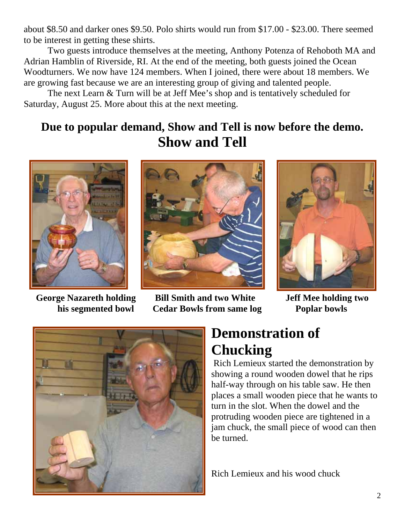about \$8.50 and darker ones \$9.50. Polo shirts would run from \$17.00 - \$23.00. There seemed to be interest in getting these shirts.

Two guests introduce themselves at the meeting, Anthony Potenza of Rehoboth MA and Adrian Hamblin of Riverside, RI. At the end of the meeting, both guests joined the Ocean Woodturners. We now have 124 members. When I joined, there were about 18 members. We are growing fast because we are an interesting group of giving and talented people.

The next Learn & Turn will be at Jeff Mee's shop and is tentatively scheduled for Saturday, August 25. More about this at the next meeting.

#### **Due to popular demand, Show and Tell is now before the demo. Show and Tell**





**George Nazareth holding Bill Smith and two White Jeff Mee holding two his segmented bowl Cedar Bowls from same log Poplar bowls** 





#### **Demonstration of Chucking**

Rich Lemieux started the demonstration by showing a round wooden dowel that he rips half-way through on his table saw. He then places a small wooden piece that he wants to turn in the slot. When the dowel and the protruding wooden piece are tightened in a jam chuck, the small piece of wood can then be turned.

Rich Lemieux and his wood chuck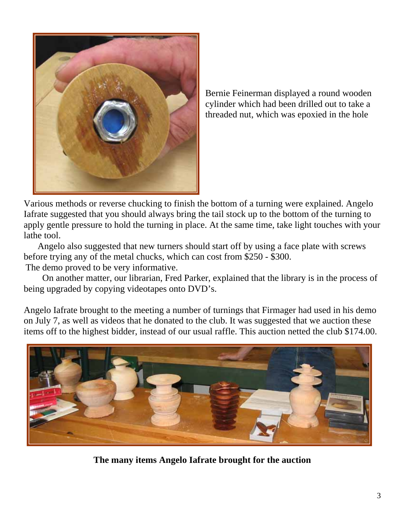

Bernie Feinerman displayed a round wooden cylinder which had been drilled out to take a threaded nut, which was epoxied in the hole

Various methods or reverse chucking to finish the bottom of a turning were explained. Angelo Iafrate suggested that you should always bring the tail stock up to the bottom of the turning to apply gentle pressure to hold the turning in place. At the same time, take light touches with your lathe tool.

 Angelo also suggested that new turners should start off by using a face plate with screws before trying any of the metal chucks, which can cost from \$250 - \$300. The demo proved to be very informative.

 On another matter, our librarian, Fred Parker, explained that the library is in the process of being upgraded by copying videotapes onto DVD's.

Angelo Iafrate brought to the meeting a number of turnings that Firmager had used in his demo on July 7, as well as videos that he donated to the club. It was suggested that we auction these items off to the highest bidder, instead of our usual raffle. This auction netted the club \$174.00.



**The many items Angelo Iafrate brought for the auction**